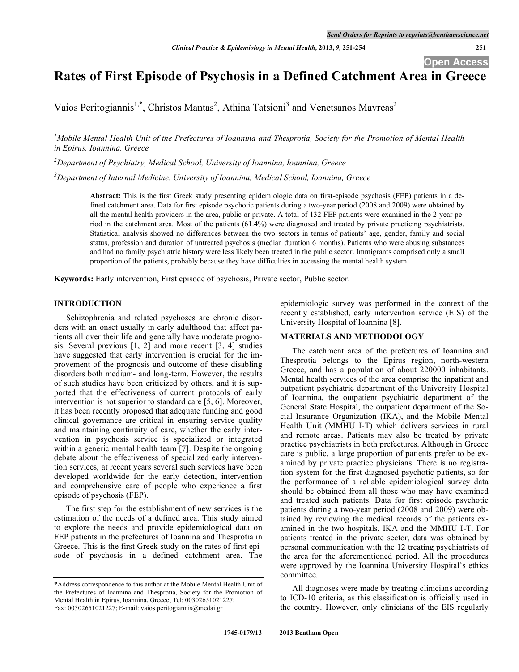# **Rates of First Episode of Psychosis in a Defined Catchment Area in Greece**

Vaios Peritogiannis<sup>1,\*</sup>, Christos Mantas<sup>2</sup>, Athina Tatsioni<sup>3</sup> and Venetsanos Mavreas<sup>2</sup>

 ${}^{1}$ Mobile Mental Health Unit of the Prefectures of Ioannina and Thesprotia, Society for the Promotion of Mental Health *in Epirus, Ioannina, Greece*

*2 Department of Psychiatry, Medical School, University of Ioannina, Ioannina, Greece*

*3 Department of Internal Medicine, University of Ioannina, Medical School, Ioannina, Greece*

**Abstract:** This is the first Greek study presenting epidemiologic data on first-episode psychosis (FEP) patients in a defined catchment area. Data for first episode psychotic patients during a two-year period (2008 and 2009) were obtained by all the mental health providers in the area, public or private. A total of 132 FEP patients were examined in the 2-year period in the catchment area. Most of the patients (61.4%) were diagnosed and treated by private practicing psychiatrists. Statistical analysis showed no differences between the two sectors in terms of patients' age, gender, family and social status, profession and duration of untreated psychosis (median duration 6 months). Patients who were abusing substances and had no family psychiatric history were less likely been treated in the public sector. Immigrants comprised only a small proportion of the patients, probably because they have difficulties in accessing the mental health system.

**Keywords:** Early intervention, First episode of psychosis, Private sector, Public sector.

# **INTRODUCTION**

Schizophrenia and related psychoses are chronic disorders with an onset usually in early adulthood that affect patients all over their life and generally have moderate prognosis. Several previous [1, 2] and more recent [3, 4] studies have suggested that early intervention is crucial for the improvement of the prognosis and outcome of these disabling disorders both medium- and long-term. However, the results of such studies have been criticized by others, and it is supported that the effectiveness of current protocols of early intervention is not superior to standard care [5, 6]. Moreover, it has been recently proposed that adequate funding and good clinical governance are critical in ensuring service quality and maintaining continuity of care, whether the early intervention in psychosis service is specialized or integrated within a generic mental health team [7]. Despite the ongoing debate about the effectiveness of specialized early intervention services, at recent years several such services have been developed worldwide for the early detection, intervention and comprehensive care of people who experience a first episode of psychosis (FEP).

The first step for the establishment of new services is the estimation of the needs of a defined area. This study aimed to explore the needs and provide epidemiological data on FEP patients in the prefectures of Ioannina and Thesprotia in Greece. This is the first Greek study on the rates of first episode of psychosis in a defined catchment area. The

epidemiologic survey was performed in the context of the recently established, early intervention service (EIS) of the University Hospital of Ioannina [8].

# **MATERIALS AND METHODOLOGY**

The catchment area of the prefectures of Ioannina and Thesprotia belongs to the Epirus region, north-western Greece, and has a population of about 220000 inhabitants. Mental health services of the area comprise the inpatient and outpatient psychiatric department of the University Hospital of Ioannina, the outpatient psychiatric department of the General State Hospital, the outpatient department of the Social Insurance Organization (IKA), and the Mobile Mental Health Unit (MMHU I-T) which delivers services in rural and remote areas. Patients may also be treated by private practice psychiatrists in both prefectures. Although in Greece care is public, a large proportion of patients prefer to be examined by private practice physicians. There is no registration system for the first diagnosed psychotic patients, so for the performance of a reliable epidemiological survey data should be obtained from all those who may have examined and treated such patients. Data for first episode psychotic patients during a two-year period (2008 and 2009) were obtained by reviewing the medical records of the patients examined in the two hospitals, IKA and the MMHU I-T. For patients treated in the private sector, data was obtained by personal communication with the 12 treating psychiatrists of the area for the aforementioned period. All the procedures were approved by the Ioannina University Hospital's ethics committee.

All diagnoses were made by treating clinicians according to ICD-10 criteria, as this classification is officially used in the country. However, only clinicians of the EIS regularly

<sup>\*</sup>Address correspondence to this author at the Mobile Mental Health Unit of the Prefectures of Ioannina and Thesprotia, Society for the Promotion of Mental Health in Epirus, Ioannina, Greece; Tel: 00302651021227; Fax: 00302651021227; E-mail: vaios.peritogiannis@medai.gr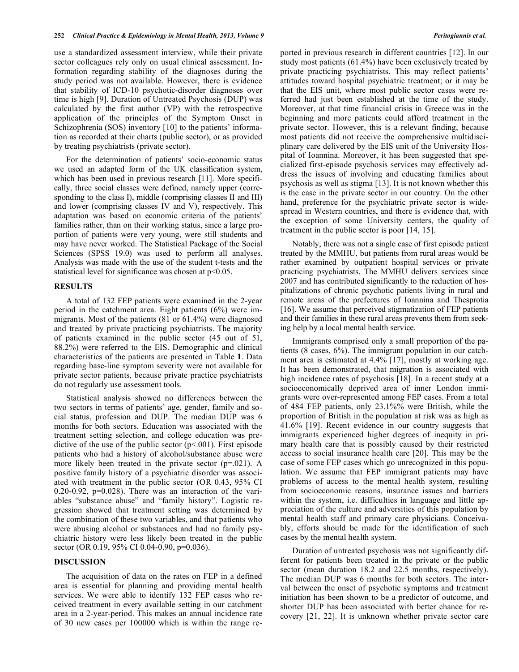use a standardized assessment interview, while their private sector colleagues rely only on usual clinical assessment. Information regarding stability of the diagnoses during the study period was not available. However, there is evidence that stability of ICD-10 psychotic-disorder diagnoses over time is high [9]. Duration of Untreated Psychosis (DUP) was calculated by the first author (VP) with the retrospective application of the principles of the Symptom Onset in Schizophrenia (SOS) inventory [10] to the patients' information as recorded at their charts (public sector), or as provided by treating psychiatrists (private sector).

For the determination of patients' socio-economic status we used an adapted form of the UK classification system, which has been used in previous research [11]. More specifically, three social classes were defined, namely upper (corresponding to the class I), middle (comprising classes II and III) and lower (comprising classes IV and V), respectively. This adaptation was based on economic criteria of the patients' families rather, than on their working status, since a large proportion of patients were very young, were still students and may have never worked. The Statistical Package of the Social Sciences (SPSS 19.0) was used to perform all analyses. Analysis was made with the use of the student t-tests and the statistical level for significance was chosen at  $p<0.05$ .

#### **RESULTS**

A total of 132 FEP patients were examined in the 2-year period in the catchment area. Eight patients (6%) were immigrants. Most of the patients (81 or 61.4%) were diagnosed and treated by private practicing psychiatrists. The majority of patients examined in the public sector (45 out of 51, 88.2%) were referred to the EIS. Demographic and clinical characteristics of the patients are presented in Table **1**. Data regarding base-line symptom severity were not available for private sector patients, because private practice psychiatrists do not regularly use assessment tools.

Statistical analysis showed no differences between the two sectors in terms of patients' age, gender, family and social status, profession and DUP. The median DUP was 6 months for both sectors. Education was associated with the treatment setting selection, and college education was predictive of the use of the public sector  $(p<0.01)$ . First episode patients who had a history of alcohol/substance abuse were more likely been treated in the private sector (p=.021). A positive family history of a psychiatric disorder was associated with treatment in the public sector (OR 0.43, 95% CI  $0.20 - 0.92$ ,  $p=0.028$ ). There was an interaction of the variables "substance abuse" and "family history". Logistic regression showed that treatment setting was determined by the combination of these two variables, and that patients who were abusing alcohol or substances and had no family psychiatric history were less likely been treated in the public sector (OR 0.19, 95% CI 0.04-0.90, p=0.036).

## **DISCUSSION**

The acquisition of data on the rates on FEP in a defined area is essential for planning and providing mental health services. We were able to identify 132 FEP cases who received treatment in every available setting in our catchment area in a 2-year-period. This makes an annual incidence rate of 30 new cases per 100000 which is within the range reported in previous research in different countries [12]. In our study most patients (61.4%) have been exclusively treated by private practicing psychiatrists. This may reflect patients' attitudes toward hospital psychiatric treatment; or it may be that the EIS unit, where most public sector cases were referred had just been established at the time of the study. Moreover, at that time financial crisis in Greece was in the beginning and more patients could afford treatment in the private sector. However, this is a relevant finding, because most patients did not receive the comprehensive multidisciplinary care delivered by the EIS unit of the University Hospital of Ioannina. Moreover, it has been suggested that specialized first-episode psychosis services may effectively address the issues of involving and educating families about psychosis as well as stigma [13]. It is not known whether this is the case in the private sector in our country. On the other hand, preference for the psychiatric private sector is widespread in Western countries, and there is evidence that, with the exception of some University centers, the quality of treatment in the public sector is poor [14, 15].

Notably, there was not a single case of first episode patient treated by the MMHU, but patients from rural areas would be rather examined by outpatient hospital services or private practicing psychiatrists. The MMHU delivers services since 2007 and has contributed significantly to the reduction of hospitalizations of chronic psychotic patients living in rural and remote areas of the prefectures of Ioannina and Thesprotia [16]. We assume that perceived stigmatization of FEP patients and their families in these rural areas prevents them from seeking help by a local mental health service.

Immigrants comprised only a small proportion of the patients (8 cases, 6%). The immigrant population in our catchment area is estimated at 4.4% [17], mostly at working age. It has been demonstrated, that migration is associated with high incidence rates of psychosis [18]. In a recent study at a socioeconomically deprived area of inner London immigrants were over-represented among FEP cases. From a total of 484 FEP patients, only 23.1%% were British, while the proportion of British in the population at risk was as high as 41.6% [19]. Recent evidence in our country suggests that immigrants experienced higher degrees of inequity in primary health care that is possibly caused by their restricted access to social insurance health care [20]. This may be the case of some FEP cases which go unrecognized in this population. We assume that FEP immigrant patients may have problems of access to the mental health system, resulting from socioeconomic reasons, insurance issues and barriers within the system, i.e. difficulties in language and little appreciation of the culture and adversities of this population by mental health staff and primary care physicians. Conceivably, efforts should be made for the identification of such cases by the mental health system.

Duration of untreated psychosis was not significantly different for patients been treated in the private or the public sector (mean duration 18.2 and 22.5 months, respectively). The median DUP was 6 months for both sectors. The interval between the onset of psychotic symptoms and treatment initiation has been shown to be a predictor of outcome, and shorter DUP has been associated with better chance for recovery [21, 22]. It is unknown whether private sector care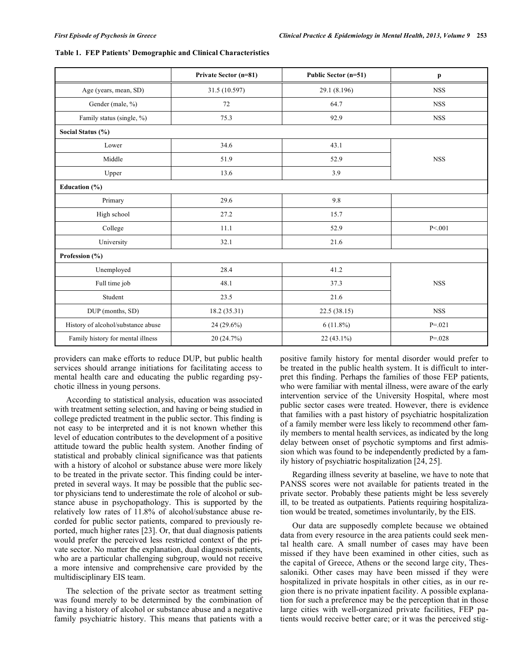|                                    | Private Sector (n=81) | Public Sector (n=51) | $\mathbf{p}$ |
|------------------------------------|-----------------------|----------------------|--------------|
| Age (years, mean, SD)              | 31.5 (10.597)         | 29.1 (8.196)         | <b>NSS</b>   |
| Gender (male, %)                   | 72                    | 64.7                 | <b>NSS</b>   |
| Family status (single, %)          | 75.3                  | 92.9                 | <b>NSS</b>   |
| Social Status (%)                  |                       |                      |              |
| Lower                              | 34.6                  | 43.1                 |              |
| Middle                             | 51.9                  | 52.9                 | <b>NSS</b>   |
| Upper                              | 13.6                  | 3.9                  |              |
| Education (%)                      |                       |                      |              |
| Primary                            | 29.6                  | 9.8                  |              |
| High school                        | 27.2                  | 15.7                 |              |
| College                            | 11.1                  | 52.9                 | P < 001      |
| University                         | 32.1                  | 21.6                 |              |
| Profession (%)                     |                       |                      |              |
| Unemployed                         | 28.4                  | 41.2                 |              |
| Full time job                      | 48.1                  | 37.3                 | <b>NSS</b>   |
| Student                            | 23.5                  | 21.6                 |              |
| DUP (months, SD)                   | 18.2 (35.31)          | 22.5(38.15)          | <b>NSS</b>   |
| History of alcohol/substance abuse | $24(29.6\%)$          | $6(11.8\%)$          | $P = 021$    |
| Family history for mental illness  | 20 (24.7%)            | 22 (43.1%)           | $P = 0.028$  |

| Table 1. FEP Patients' Demographic and Clinical Characteristics |
|-----------------------------------------------------------------|
|-----------------------------------------------------------------|

providers can make efforts to reduce DUP, but public health services should arrange initiations for facilitating access to mental health care and educating the public regarding psychotic illness in young persons.

According to statistical analysis, education was associated with treatment setting selection, and having or being studied in college predicted treatment in the public sector. This finding is not easy to be interpreted and it is not known whether this level of education contributes to the development of a positive attitude toward the public health system. Another finding of statistical and probably clinical significance was that patients with a history of alcohol or substance abuse were more likely to be treated in the private sector. This finding could be interpreted in several ways. It may be possible that the public sector physicians tend to underestimate the role of alcohol or substance abuse in psychopathology. This is supported by the relatively low rates of 11.8% of alcohol/substance abuse recorded for public sector patients, compared to previously reported, much higher rates [23]. Or, that dual diagnosis patients would prefer the perceived less restricted context of the private sector. No matter the explanation, dual diagnosis patients, who are a particular challenging subgroup, would not receive a more intensive and comprehensive care provided by the multidisciplinary EIS team.

The selection of the private sector as treatment setting was found merely to be determined by the combination of having a history of alcohol or substance abuse and a negative family psychiatric history. This means that patients with a

positive family history for mental disorder would prefer to be treated in the public health system. It is difficult to interpret this finding. Perhaps the families of those FEP patients, who were familiar with mental illness, were aware of the early intervention service of the University Hospital, where most public sector cases were treated. However, there is evidence that families with a past history of psychiatric hospitalization of a family member were less likely to recommend other family members to mental health services, as indicated by the long delay between onset of psychotic symptoms and first admission which was found to be independently predicted by a family history of psychiatric hospitalization [24, 25].

Regarding illness severity at baseline, we have to note that PANSS scores were not available for patients treated in the private sector. Probably these patients might be less severely ill, to be treated as outpatients. Patients requiring hospitalization would be treated, sometimes involuntarily, by the EIS.

Our data are supposedly complete because we obtained data from every resource in the area patients could seek mental health care. A small number of cases may have been missed if they have been examined in other cities, such as the capital of Greece, Athens or the second large city, Thessaloniki. Other cases may have been missed if they were hospitalized in private hospitals in other cities, as in our region there is no private inpatient facility. A possible explanation for such a preference may be the perception that in those large cities with well-organized private facilities, FEP patients would receive better care; or it was the perceived stig